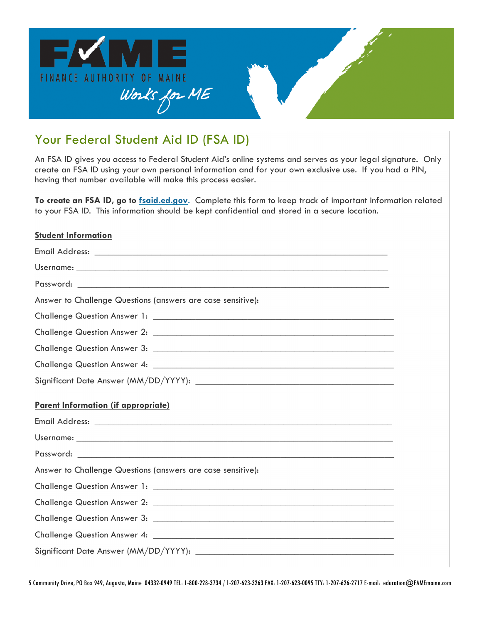

# Your Federal Student Aid ID (FSA ID)

An FSA ID gives you access to Federal Student Aid's online systems and serves as your legal signature. Only create an FSA ID using your own personal information and for your own exclusive use. If you had a PIN, having that number available will make this process easier.

**To create an FSA ID, go to fsaid.ed.gov**. Complete this form to keep track of important information related to your FSA ID. This information should be kept confidential and stored in a secure location.

## **Student Information**

| Answer to Challenge Questions (answers are case sensitive): |
|-------------------------------------------------------------|
|                                                             |
|                                                             |
|                                                             |
|                                                             |
|                                                             |
| Parent Information (if appropriate)                         |
|                                                             |
|                                                             |
|                                                             |
| Answer to Challenge Questions (answers are case sensitive): |
|                                                             |
|                                                             |
|                                                             |
|                                                             |
|                                                             |